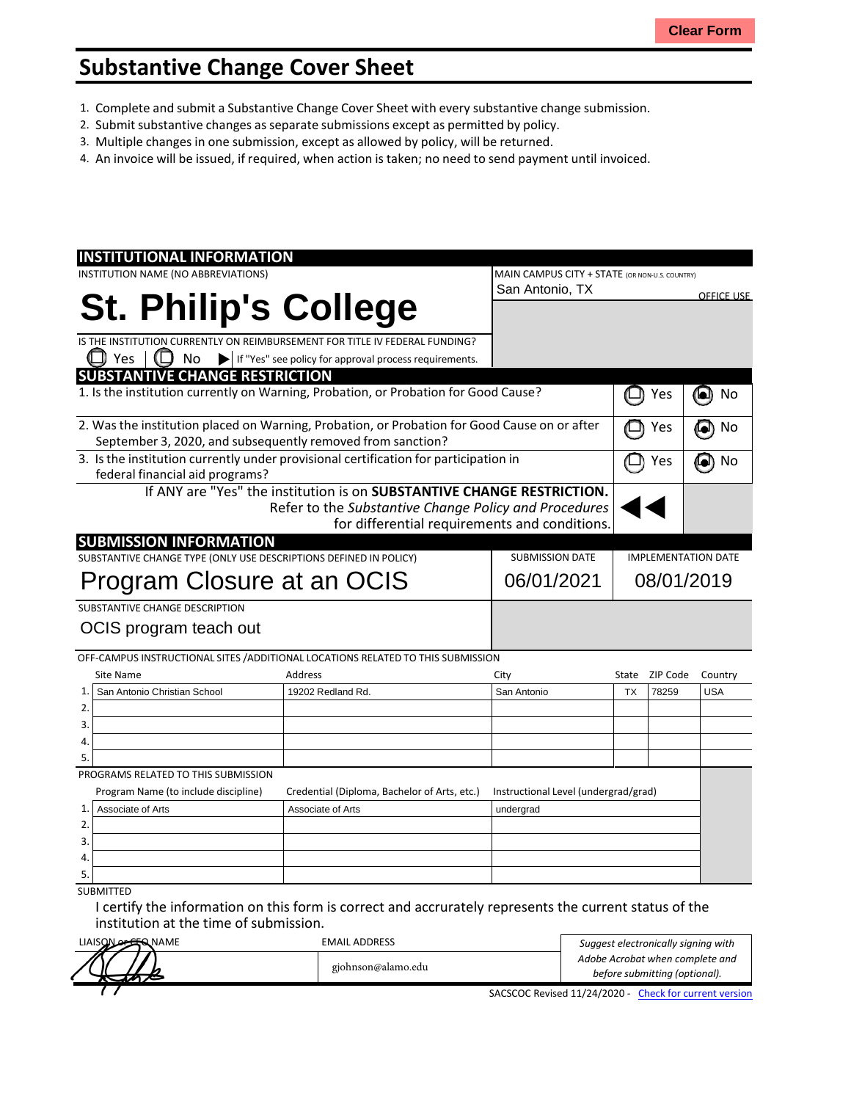## **Substantive Change Cover Sheet**

- 1. Complete and submit a Substantive Change Cover Sheet with every substantive change submission.
- 2. Submit substantive changes asseparate submissions except as permitted by policy.
- 3. Multiple changes in one submission, except as allowed by policy, will be returned.
- 4. An invoice will be issued, if required, when action is taken; no need to send payment until invoiced.

| <b>INSTITUTIONAL INFORMATION</b>                                                     |                                                                                              |                                                |                                      |                            |          |                   |
|--------------------------------------------------------------------------------------|----------------------------------------------------------------------------------------------|------------------------------------------------|--------------------------------------|----------------------------|----------|-------------------|
| INSTITUTION NAME (NO ABBREVIATIONS)                                                  |                                                                                              | MAIN CAMPUS CITY + STATE (OR NON-U.S. COUNTRY) |                                      |                            |          |                   |
|                                                                                      |                                                                                              |                                                | San Antonio, TX                      |                            |          | <b>OFFICE USE</b> |
| <b>St. Philip's College</b>                                                          |                                                                                              |                                                |                                      |                            |          |                   |
|                                                                                      |                                                                                              |                                                |                                      |                            |          |                   |
|                                                                                      | IS THE INSTITUTION CURRENTLY ON REIMBURSEMENT FOR TITLE IV FEDERAL FUNDING?                  |                                                |                                      |                            |          |                   |
| Yes<br>No                                                                            | If "Yes" see policy for approval process requirements.                                       |                                                |                                      |                            |          |                   |
| <b>SUBSTANTIVE CHANGE RESTRICTION</b>                                                |                                                                                              |                                                |                                      |                            |          |                   |
|                                                                                      | 1. Is the institution currently on Warning, Probation, or Probation for Good Cause?          |                                                |                                      |                            | Yes      | 0<br>No           |
|                                                                                      | 2. Was the institution placed on Warning, Probation, or Probation for Good Cause on or after |                                                |                                      |                            | Yes      | No<br>[e])        |
| September 3, 2020, and subsequently removed from sanction?                           |                                                                                              |                                                |                                      |                            |          |                   |
| 3. Is the institution currently under provisional certification for participation in |                                                                                              |                                                |                                      |                            | Yes      | No<br><b>[el)</b> |
| federal financial aid programs?                                                      |                                                                                              |                                                |                                      |                            |          |                   |
|                                                                                      | If ANY are "Yes" the institution is on SUBSTANTIVE CHANGE RESTRICTION.                       |                                                |                                      |                            |          |                   |
|                                                                                      | Refer to the Substantive Change Policy and Procedures                                        |                                                |                                      |                            |          |                   |
|                                                                                      | for differential requirements and conditions.                                                |                                                |                                      |                            |          |                   |
| <b>SUBMISSION INFORMATION</b>                                                        |                                                                                              |                                                |                                      |                            |          |                   |
| SUBSTANTIVE CHANGE TYPE (ONLY USE DESCRIPTIONS DEFINED IN POLICY)                    |                                                                                              |                                                | <b>SUBMISSION DATE</b>               | <b>IMPLEMENTATION DATE</b> |          |                   |
| Program Closure at an OCIS                                                           |                                                                                              |                                                | 06/01/2021                           | 08/01/2019                 |          |                   |
|                                                                                      |                                                                                              |                                                |                                      |                            |          |                   |
| SUBSTANTIVE CHANGE DESCRIPTION                                                       |                                                                                              |                                                |                                      |                            |          |                   |
| OCIS program teach out                                                               |                                                                                              |                                                |                                      |                            |          |                   |
|                                                                                      |                                                                                              |                                                |                                      |                            |          |                   |
|                                                                                      | OFF-CAMPUS INSTRUCTIONAL SITES / ADDITIONAL LOCATIONS RELATED TO THIS SUBMISSION             |                                                |                                      |                            |          |                   |
| Site Name                                                                            | <b>Address</b>                                                                               | City                                           |                                      | State                      | ZIP Code | Country           |
| San Antonio Christian School<br>$\mathbf{1}$                                         | 19202 Redland Rd.                                                                            |                                                | San Antonio                          | <b>TX</b>                  | 78259    | <b>USA</b>        |
| 2.                                                                                   |                                                                                              |                                                |                                      |                            |          |                   |
| 3.                                                                                   |                                                                                              |                                                |                                      |                            |          |                   |
| 4.                                                                                   |                                                                                              |                                                |                                      |                            |          |                   |
| 5.                                                                                   |                                                                                              |                                                |                                      |                            |          |                   |
| PROGRAMS RELATED TO THIS SUBMISSION                                                  |                                                                                              |                                                |                                      |                            |          |                   |
| Program Name (to include discipline)                                                 | Credential (Diploma, Bachelor of Arts, etc.)                                                 |                                                | Instructional Level (undergrad/grad) |                            |          |                   |
| 1.<br>Associate of Arts                                                              | Associate of Arts                                                                            |                                                | undergrad                            |                            |          |                   |
| 2.                                                                                   |                                                                                              |                                                |                                      |                            |          |                   |
| 3.                                                                                   |                                                                                              |                                                |                                      |                            |          |                   |
| 4.                                                                                   |                                                                                              |                                                |                                      |                            |          |                   |
|                                                                                      |                                                                                              |                                                |                                      |                            |          |                   |
| 5.                                                                                   |                                                                                              |                                                |                                      |                            |          |                   |

I certify the information on this form is correct and accrurately represents the current status of the institution at the time of submission.

| LIAISON OF SER NAME | <b>EMAIL ADDRESS</b> | Suggest electronically signing with                              |
|---------------------|----------------------|------------------------------------------------------------------|
|                     | gjohnson@alamo.edu   | Adobe Acrobat when complete and<br>before submitting (optional). |
|                     |                      | SACSCOC Revised 11/24/2020 - Check for current version           |

SACSCOC Revised 11/24/2020 - Check for current version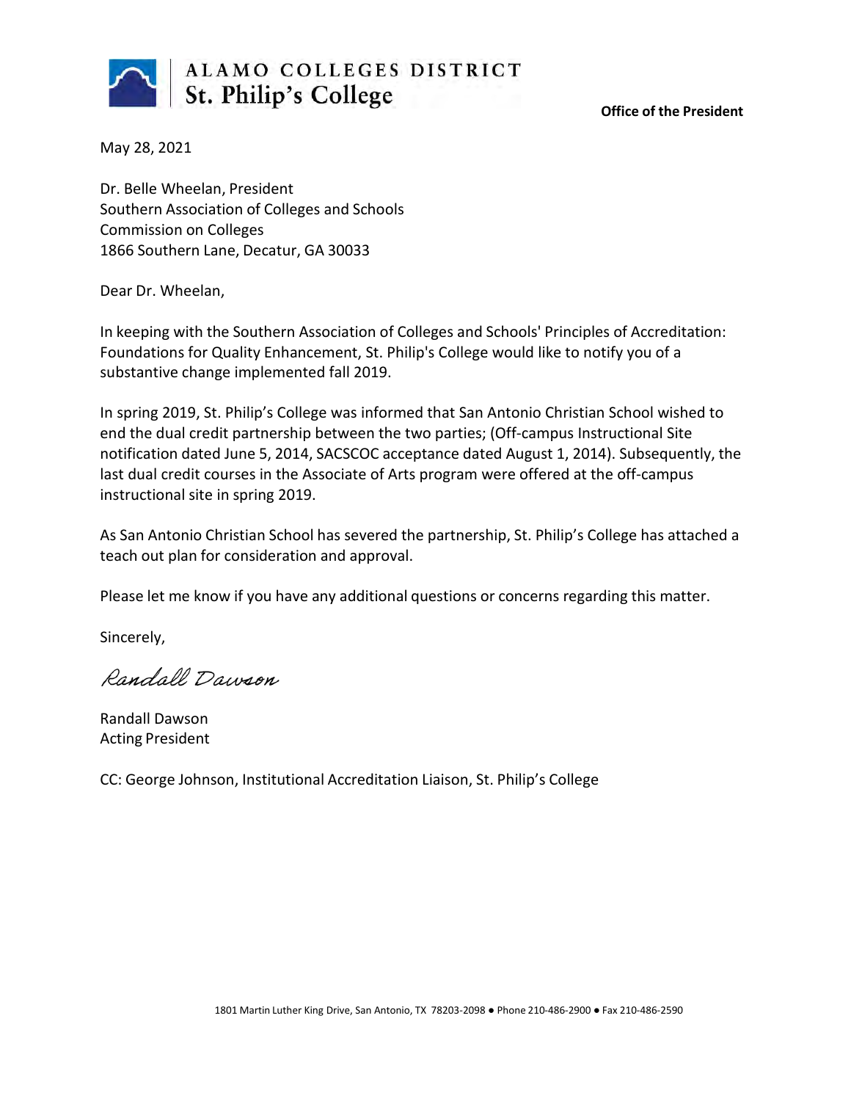

**Office of the President**

May 28, 2021

Dr. Belle Wheelan, President Southern Association of Colleges and Schools Commission on Colleges 1866 Southern Lane, Decatur, GA 30033

Dear Dr. Wheelan,

In keeping with the Southern Association of Colleges and Schools' Principles of Accreditation: Foundations for Quality Enhancement, St. Philip's College would like to notify you of a substantive change implemented fall 2019.

In spring 2019, St. Philip's College was informed that San Antonio Christian School wished to end the dual credit partnership between the two parties; (Off-campus Instructional Site notification dated June 5, 2014, SACSCOC acceptance dated August 1, 2014). Subsequently, the last dual credit courses in the Associate of Arts program were offered at the off-campus instructional site in spring 2019.

As San Antonio Christian School has severed the partnership, St. Philip's College has attached a teach out plan for consideration and approval.

Please let me know if you have any additional questions or concerns regarding this matter.

Sincerely,

Randall Dawson

Randall Dawson Acting President

CC: George Johnson, Institutional Accreditation Liaison, St. Philip's College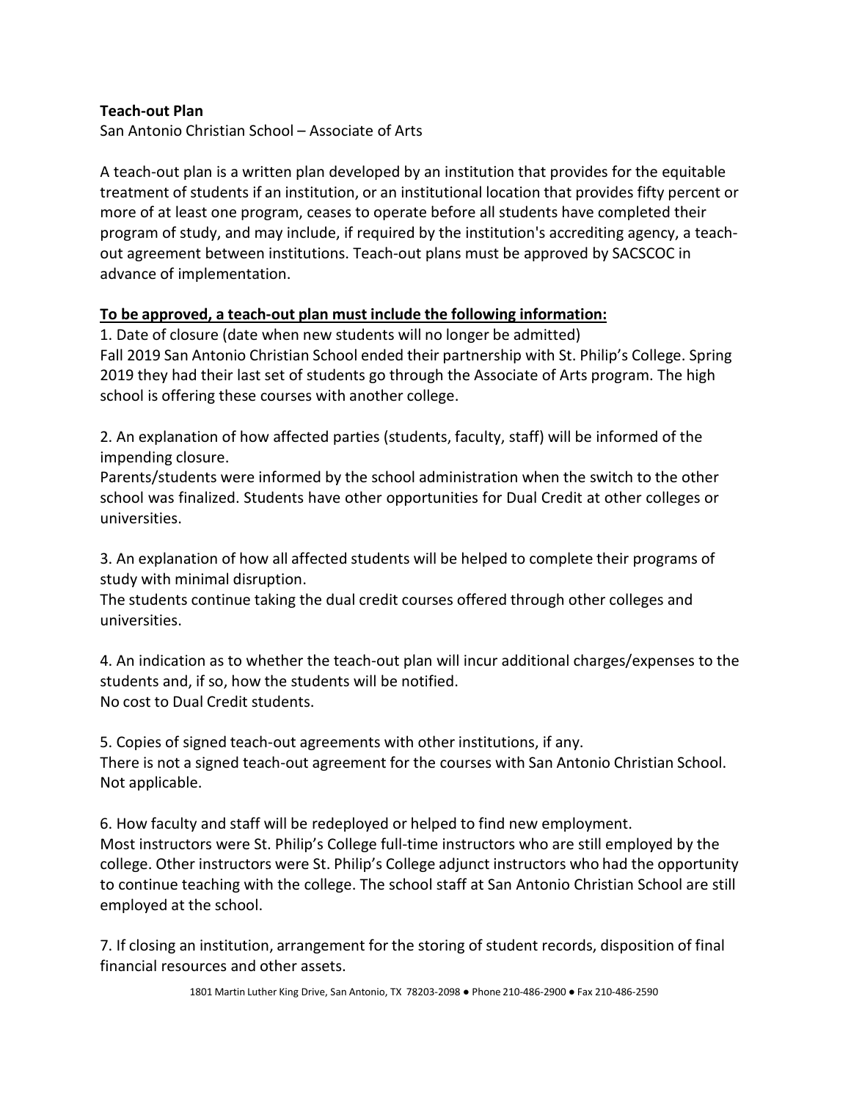## **Teach-out Plan**

San Antonio Christian School – Associate of Arts

A teach-out plan is a written plan developed by an institution that provides for the equitable treatment of students if an institution, or an institutional location that provides fifty percent or more of at least one program, ceases to operate before all students have completed their program of study, and may include, if required by the institution's accrediting agency, a teachout agreement between institutions. Teach-out plans must be approved by SACSCOC in advance of implementation.

## **To be approved, a teach-out plan must include the following information:**

1. Date of closure (date when new students will no longer be admitted) Fall 2019 San Antonio Christian School ended their partnership with St. Philip's College. Spring 2019 they had their last set of students go through the Associate of Arts program. The high school is offering these courses with another college.

2. An explanation of how affected parties (students, faculty, staff) will be informed of the impending closure.

Parents/students were informed by the school administration when the switch to the other school was finalized. Students have other opportunities for Dual Credit at other colleges or universities.

3. An explanation of how all affected students will be helped to complete their programs of study with minimal disruption.

The students continue taking the dual credit courses offered through other colleges and universities.

4. An indication as to whether the teach-out plan will incur additional charges/expenses to the students and, if so, how the students will be notified. No cost to Dual Credit students.

5. Copies of signed teach-out agreements with other institutions, if any. There is not a signed teach-out agreement for the courses with San Antonio Christian School. Not applicable.

6. How faculty and staff will be redeployed or helped to find new employment. Most instructors were St. Philip's College full-time instructors who are still employed by the college. Other instructors were St. Philip's College adjunct instructors who had the opportunity to continue teaching with the college. The school staff at San Antonio Christian School are still employed at the school.

7. If closing an institution, arrangement for the storing of student records, disposition of final financial resources and other assets.